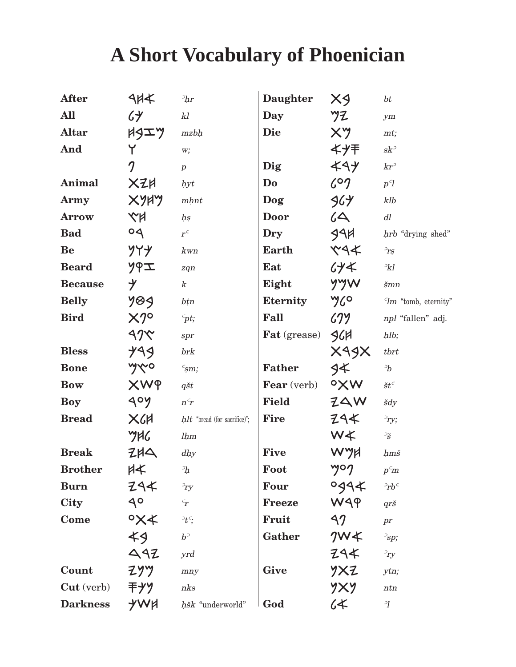## **A Short Vocabulary of Phoenician**

| <b>After</b>      | $4H+$                              | 2hr                               | <b>Daughter</b>     | $X_9$              | bt                                        |
|-------------------|------------------------------------|-----------------------------------|---------------------|--------------------|-------------------------------------------|
| All               | 64                                 | kl                                | Day                 | ツフ                 | ym                                        |
| <b>Altar</b>      | HSIY                               | mzbh                              | <b>Die</b>          | $X^{\prime\prime}$ | mt;                                       |
| And               | Y                                  | w;                                |                     | ギノキ                | $sk^{\supset}$                            |
|                   | $\boldsymbol{\eta}$                | $\boldsymbol{p}$                  | Dig                 | 494                | $kr^2$                                    |
| Animal            | XZH                                | hyt                               | Do                  | 607                | p <sup>q</sup>                            |
| <b>Army</b>       | XYHY                               | $m\nmid nt$                       | Dog                 | 964                | klb                                       |
| <b>Arrow</b>      | XX                                 | hs                                | <b>Door</b>         | 64                 | $d\hspace{-.1em}l$                        |
| <b>Bad</b>        | $\circ$                            | $r^c$                             | <b>Dry</b>          | 991                | hrb "drying shed"                         |
| Be                | ソイナ                                | kwn                               | Earth               | $x + y$            | $\mathbb{P}_{rs}$                         |
| <b>Beard</b>      | ソタエ                                | zqn                               | Eat                 | 64 <sup>4</sup>    | $\partial k$                              |
| <b>Because</b>    | $\mathcal Y$                       | $\boldsymbol{k}$                  | Eight               | yyw                | $\check{s}mn$                             |
| <b>Belly</b>      | 789                                | bțn                               | <b>Eternity</b>     | yco                | $Tm$ "tomb, eternity"                     |
| <b>Bird</b>       | $X2^{\circ}$                       | $\epsilon_{pt;}$                  | Fall                | (3)                | npl "fallen" adj.                         |
|                   | 47                                 | spr                               | <b>Fat</b> (grease) | 96H                | hlb;                                      |
| <b>Bless</b>      | 499                                | brk                               |                     | XAJX               | $t$ <i>brt</i>                            |
| <b>Bone</b>       | yvo                                | $\epsilon_{\rm sm; s}$            | <b>Father</b>       | 4                  | $\,{}^{\scriptscriptstyle\mathrm{2}}\! b$ |
| <b>Bow</b>        | <b>XWP</b>                         | $q\check{s}t$                     | <b>Fear</b> (verb)  | oXW                | $\check{s}t^{\scriptscriptstyle C}$       |
| <b>Boy</b>        | 90Y                                | $n\ensuremath{^\ensuremath{c}} r$ | <b>Field</b>        | ZAW                | šdy                                       |
| <b>Bread</b>      | X <sub>6</sub>                     | $hlt$ "bread (for sacrifice)";    | Fire                | 294                | $\partial_{ry}$                           |
|                   | YHG                                | lhm                               |                     | W≮                 | $\frac{1}{S}$                             |
| <b>Break</b>      | $Z+A$                              | dhy                               | <b>Five</b>         | WYH                | hmš                                       |
| <b>Brother</b>    | $\forall$                          | $\partial h$                      | Foot                | yog                | $p^c$ m                                   |
| <b>Burn</b>       | 294                                | $\partial_{ry}$                   | <b>Four</b>         | 9994               | $Prb^c$                                   |
| City              | $9^{\circ}$                        | $\epsilon_{\bm{r}}$               | <b>Freeze</b>       | WAP                | $qr\check{s}$                             |
| Come              | $\mathsf{O} \mathsf{X} \mathsf{X}$ | $E^{\epsilon}$                    | Fruit               | 42                 | pr                                        |
|                   | 49                                 | $b^{\supset}$                     | Gather              | 7W <sup>4</sup>    | $\sup$ ;                                  |
|                   | 492                                | yrd                               |                     | 294                | $\partial_{ry}$                           |
| Count             | <b>ZYY</b>                         | mny                               | <b>Give</b>         | YXZ                | ytn;                                      |
| <b>Cut</b> (verb) | 干ナソ                                | nks                               |                     | yxy                | ntn                                       |
| <b>Darkness</b>   | <b>YWA</b>                         | hšk "underworld"                  | God                 | 64                 | $\overline{\mathcal{U}}$                  |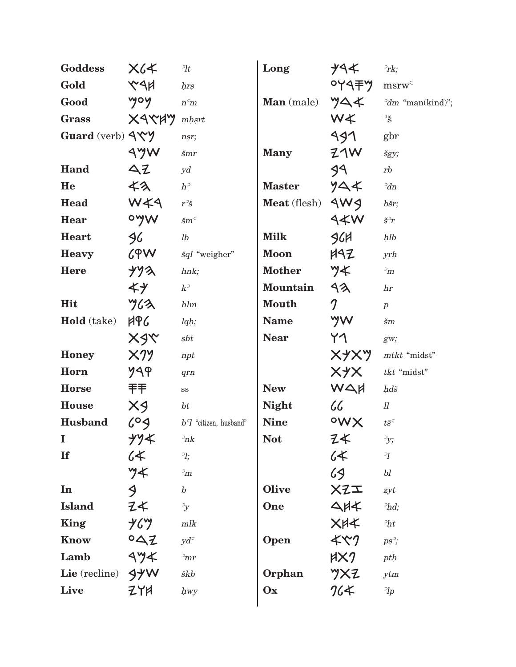| <b>Goddess</b>       | $X$ 6 $K$                    | $\partial t$               | Long                | ナイキ                      | $\partial$ rk;                      |
|----------------------|------------------------------|----------------------------|---------------------|--------------------------|-------------------------------------|
| Gold                 | <b>KAN</b>                   | hrs                        |                     | <b>OYA手ツ</b>             | $msrw^C$                            |
| Good                 | yoy                          | $n^{\text{c}}m$            | <b>Man</b> (male)   | YAK                      | $\partial dm$ "man(kind)";          |
| <b>Grass</b>         | XAYAY                        | $mh$ srt                   |                     | W <sup>*</sup>           | $\overline{\mathbf{S}}$             |
| Guard (verb) 94Y     |                              | nsr;                       |                     | 991                      | gbr                                 |
|                      | AYW                          | $\check{s}mr$              | <b>Many</b>         | 21W                      | šgy;                                |
| Hand                 | $\Delta$ Z                   | yd                         |                     | 99                       | rb                                  |
| He                   | くろ                           | $h^{\supset}$              | <b>Master</b>       | りへく                      | $\partial dn$                       |
| Head                 | WK4                          | $r^2\check{s}$             | <b>Meat</b> (flesh) | 4W <sub>9</sub>          | bšr;                                |
| Hear                 | oyw                          | $\check{s}m^c$             |                     | 44W                      | $\check{s}^{\supseteq}$             |
| <b>Heart</b>         | 96                           | lb                         | <b>Milk</b>         | 96H                      | $h$ l $b$                           |
| <b>Heavy</b>         | 69W                          | šql "weigher"              | <b>Moon</b>         | HAZ                      | yrh                                 |
| <b>Here</b>          | ナソス                          | hnk;                       | <b>Mother</b>       | y≮                       | $\mathbb{P}m$                       |
|                      | ≮光                           | $k^{\scriptscriptstyle 2}$ | Mountain            | 92                       | hr                                  |
| Hit                  | $\gamma$ 62                  | hlm                        | <b>Mouth</b>        | $\boldsymbol{\eta}$      | $\boldsymbol{p}$                    |
| Hold (take)          | <b>APG</b>                   | lqh;                       | <b>Name</b>         | yw                       | $\check{s}m$                        |
|                      | XJY                          | sbt                        | <b>Near</b>         | 71                       | $g_{W;}$                            |
| <b>Honey</b>         | $\times$ 19                  | npt                        |                     | XYXY                     | mtkt "midst"                        |
| Horn                 | ሃጓዋ                          | qrn                        |                     | XYX                      | tkt "midst"                         |
| <b>Horse</b>         | 手手                           | $_{\rm SS}$                | <b>New</b>          | WAH                      | hdš                                 |
| <b>House</b>         | X9                           | bt                         | <b>Night</b>        | $\mathcal{C}\mathcal{C}$ | $_{ll}$                             |
| <b>Husband</b>       | 609                          | $b7$ "citizen, husband"    | <b>Nine</b>         | owx                      | $t\check{s}^{\scriptscriptstyle C}$ |
| $\mathbf{I}$         | ナソギ                          | $\partial n$ k             | <b>Not</b>          | Ζ≮                       | $\mathcal{Y};$                      |
| <b>If</b>            | 64                           | $\partial$                 |                     | 64                       | $\overline{\mathcal{U}}$            |
|                      | y                            | $\mathbb{P}_{m}$           |                     | 69                       | $b\hspace{0.5pt} l$                 |
| In                   | $\triangleleft$              | $\boldsymbol{b}$           | <b>Olive</b>        | XZI                      | zyt                                 |
| <b>Island</b>        | ヱ≮                           | $\rightarrow y$            | One                 | 44                       | $\partial h$ d;                     |
| <b>King</b>          | ሃሪツ                          | $m l k$                    |                     | $X$ $A$ $X$              | $\partial h t$                      |
| Know                 | 022                          | $yd^c$                     | Open                | 4x7                      | $ps^{\supset}$                      |
| Lamb                 | $\left\{ \forall x \right\}$ | $\mathbb{P}_{mr}$          |                     | HX7                      | pth                                 |
| Lie (recline) $9$ /W |                              | škb                        | Orphan              | YXZ                      | ytm                                 |
| Live                 | ZYA                          | hwy                        | Ox                  | 764                      | $\partial p$                        |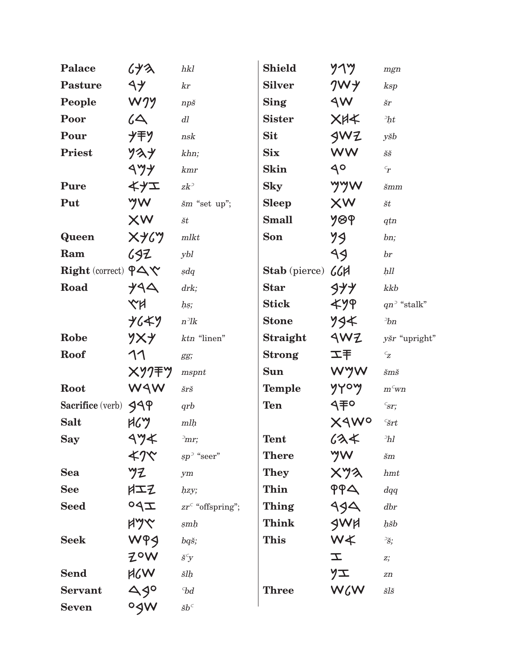| <b>Palace</b>                               | くソス                                 | hkl                                                                                                                                                                                                                                                             | <b>Shield</b>     | $y \gamma y$    | mgn                                          |
|---------------------------------------------|-------------------------------------|-----------------------------------------------------------------------------------------------------------------------------------------------------------------------------------------------------------------------------------------------------------------|-------------------|-----------------|----------------------------------------------|
| <b>Pasture</b>                              | $\mathcal{A} \mathcal{Y}$           | kr                                                                                                                                                                                                                                                              | <b>Silver</b>     | 7W <sup>2</sup> | ksp                                          |
| People                                      | WJY                                 | $np\check{s}$                                                                                                                                                                                                                                                   | <b>Sing</b>       | 9W              | šr                                           |
| Poor                                        | 64                                  | dl                                                                                                                                                                                                                                                              | <b>Sister</b>     | <b>XHX</b>      | $\partial h t$                               |
| Pour                                        | グ干ソ                                 | nsk                                                                                                                                                                                                                                                             | <b>Sit</b>        | 3WZ             | yšb                                          |
| <b>Priest</b>                               | ソスソ                                 | khn;                                                                                                                                                                                                                                                            | <b>Six</b>        | <b>WW</b>       | $\check{S}\check{S}$                         |
|                                             | $\left\langle \gamma \right\rangle$ | kmr                                                                                                                                                                                                                                                             | <b>Skin</b>       | $9^{\circ}$     | $\mathbf{r}_r$                               |
| Pure                                        | イイエ                                 | $z k$ <sup>2</sup>                                                                                                                                                                                                                                              | <b>Sky</b>        | yyw             | $\check{s}mm$                                |
| Put                                         | yw                                  | šm "set up";                                                                                                                                                                                                                                                    | <b>Sleep</b>      | XW              | $\v{s}t$                                     |
|                                             | XW                                  | št                                                                                                                                                                                                                                                              | <b>Small</b>      | <b>7</b> 89     | qtn                                          |
| <b>Queen</b>                                | XY                                  | $m$ lkt                                                                                                                                                                                                                                                         | Son               | 79              | bn;                                          |
| Ram                                         | 692                                 | ybl                                                                                                                                                                                                                                                             |                   | $\triangleleft$ | $\mathbf{b}$ r                               |
| Right (correct) $\varphi \Delta \mathbf{y}$ |                                     | sdq                                                                                                                                                                                                                                                             | Stab (pierce) CCH |                 | hll                                          |
| Road                                        | <b>YAA</b>                          | drk;                                                                                                                                                                                                                                                            | <b>Star</b>       | 977             | kkb                                          |
|                                             | KN                                  | hs;                                                                                                                                                                                                                                                             | <b>Stick</b>      | ≮ሃዋ             | $qn^3$ "stalk"                               |
|                                             | <b>ナムギソ</b>                         | $n$ $\!\!$ $\!\!$ $\!\!$ $\!\!$ $\!\!$ $\!\!$ $\!\!$ $\!\!$ $\!\!$ $\!\!$ $\!\!$ $\!\!$ $\!\!$ $\!\!$ $\!\!$ $\!\!$ $\!\!$ $\!\!$ $\!\!$ $\!\!$ $\!\!$ $\!\!$ $\!\!$ $\!\!$ $\!\!$ $\!\!$ $\!\!$ $\!\!$ $\!\!$ $\!\!$ $\!\!$ $\!\!$ $\!\!$ $\!\!$ $\!\!$ $\!\!$ | <b>Stone</b>      | 794             | 2bn                                          |
| Robe                                        | YXY                                 | ktn "linen"                                                                                                                                                                                                                                                     | Straight          | AWZ             | yšr "upright"                                |
| Roof                                        | 11                                  | gg;                                                                                                                                                                                                                                                             | <b>Strong</b>     | 工手              | $\mathrel{\ulcorner}_{\mathrel{\mathbf{Z}}}$ |
|                                             | <b>XY7手ツ</b>                        | mspnt                                                                                                                                                                                                                                                           | <b>Sun</b>        | WYW             | $\check{s}m\check{s}$                        |
| Root                                        | WAW                                 | šrš                                                                                                                                                                                                                                                             | <b>Temple</b>     | yyoy            | $m^c$ wn                                     |
| Sacrifice (verb) $349$                      |                                     | qrb                                                                                                                                                                                                                                                             | <b>Ten</b>        | 9手P             | $\epsilon_{ST}$                              |
| <b>Salt</b>                                 | HGY                                 | mlh                                                                                                                                                                                                                                                             |                   | XAWO            | $\epsilon$ <i>šrt</i>                        |
| <b>Say</b>                                  | $\Delta \gamma$                     | $\sum$ mr;                                                                                                                                                                                                                                                      | <b>Tent</b>       | 634             | $\partial h$                                 |
|                                             | ≮クベ                                 | $sp^{\supset}$ "seer"                                                                                                                                                                                                                                           | <b>There</b>      | yw              | $\check{s}m$                                 |
| <b>Sea</b>                                  | ツフ                                  | ym                                                                                                                                                                                                                                                              | <b>They</b>       | XYX             | hmt                                          |
| <b>See</b>                                  | $\sharp$ IZ                         | hzy;                                                                                                                                                                                                                                                            | Thin              | PPA             | dqq                                          |
| <b>Seed</b>                                 | $Z\rho$                             | $zr^{\epsilon}$ "offspring";                                                                                                                                                                                                                                    | Thing             | 994             | dbr                                          |
|                                             | <b>AYY</b>                          | $\sinh$                                                                                                                                                                                                                                                         | Think             | SWH             | hšb                                          |
| <b>Seek</b>                                 | WPS                                 | bqš;                                                                                                                                                                                                                                                            | <b>This</b>       | W≮              | $\frac{1}{S}$                                |
|                                             | ZOW                                 | $\check{s}^c y$                                                                                                                                                                                                                                                 |                   | $\mathcal{I}$   | $Z_{2}^{*}$                                  |
| <b>Send</b>                                 | <b>MSW</b>                          | šlh                                                                                                                                                                                                                                                             |                   | ソエ              | zn                                           |
| <b>Servant</b>                              | 490                                 | ${}^{\scriptscriptstyle\mathrm{C}}\hspace{-1.5pt}bd$                                                                                                                                                                                                            | <b>Three</b>      | WGW             | šlš                                          |
| <b>Seven</b>                                | ogw                                 | $\check{s}b^\subset$                                                                                                                                                                                                                                            |                   |                 |                                              |